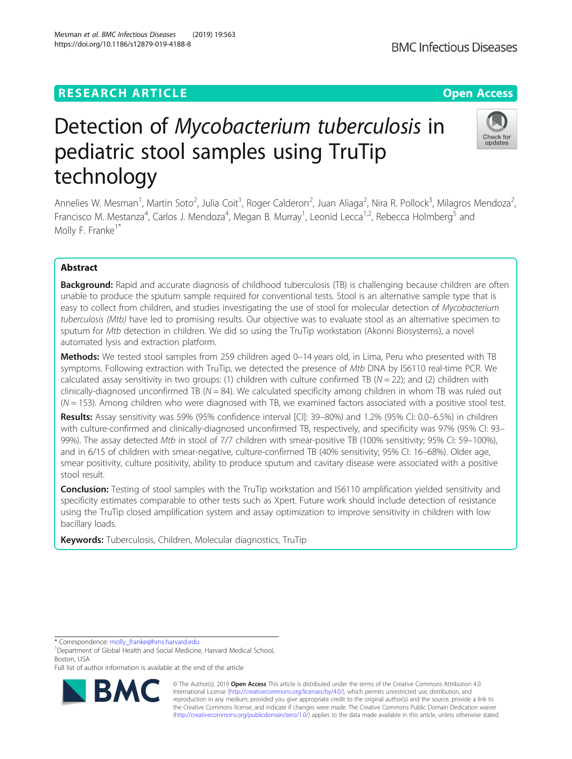# **RESEARCH ARTICLE Example 2018 12:30 THE Open Access**

# Detection of Mycobacterium tuberculosis in pediatric stool samples using TruTip technology

Annelies W. Mesman<sup>1</sup>, Martin Soto<sup>2</sup>, Julia Coit<sup>1</sup>, Roger Calderon<sup>2</sup>, Juan Aliaga<sup>2</sup>, Nira R. Pollock<sup>3</sup>, Milagros Mendoza<sup>2</sup> .<br>, Francisco M. Mestanza<sup>4</sup>, Carlos J. Mendoza<sup>4</sup>, Megan B. Murray<sup>1</sup>, Leonid Lecca<sup>1,2</sup>, Rebecca Holmberg<sup>5</sup> and Molly F. Franke $1^*$ 

## Abstract

**Background:** Rapid and accurate diagnosis of childhood tuberculosis (TB) is challenging because children are often unable to produce the sputum sample required for conventional tests. Stool is an alternative sample type that is easy to collect from children, and studies investigating the use of stool for molecular detection of Mycobacterium tuberculosis (Mtb) have led to promising results. Our objective was to evaluate stool as an alternative specimen to sputum for Mtb detection in children. We did so using the TruTip workstation (Akonni Biosystems), a novel automated lysis and extraction platform.

Methods: We tested stool samples from 259 children aged 0-14 years old, in Lima, Peru who presented with TB symptoms. Following extraction with TruTip, we detected the presence of Mtb DNA by IS6110 real-time PCR. We calculated assay sensitivity in two groups: (1) children with culture confirmed TB ( $N = 22$ ); and (2) children with clinically-diagnosed unconfirmed TB ( $N = 84$ ). We calculated specificity among children in whom TB was ruled out  $(N = 153)$ . Among children who were diagnosed with TB, we examined factors associated with a positive stool test.

Results: Assay sensitivity was 59% (95% confidence interval [CI]: 39–80%) and 1.2% (95% CI: 0.0–6.5%) in children with culture-confirmed and clinically-diagnosed unconfirmed TB, respectively, and specificity was 97% (95% CI: 93-99%). The assay detected Mtb in stool of 7/7 children with smear-positive TB (100% sensitivity; 95% CI: 59–100%), and in 6/15 of children with smear-negative, culture-confirmed TB (40% sensitivity; 95% CI: 16–68%). Older age, smear positivity, culture positivity, ability to produce sputum and cavitary disease were associated with a positive stool result.

**Conclusion:** Testing of stool samples with the TruTip workstation and IS6110 amplification yielded sensitivity and specificity estimates comparable to other tests such as Xpert. Future work should include detection of resistance using the TruTip closed amplification system and assay optimization to improve sensitivity in children with low bacillary loads.

Keywords: Tuberculosis, Children, Molecular diagnostics, TruTip

<sup>1</sup>Department of Global Health and Social Medicine, Harvard Medical School, Boston, USA

Full list of author information is available at the end of the article

© The Author(s). 2019 **Open Access** This article is distributed under the terms of the Creative Commons Attribution 4.0 International License [\(http://creativecommons.org/licenses/by/4.0/](http://creativecommons.org/licenses/by/4.0/)), which permits unrestricted use, distribution, and reproduction in any medium, provided you give appropriate credit to the original author(s) and the source, provide a link to the Creative Commons license, and indicate if changes were made. The Creative Commons Public Domain Dedication waiver [\(http://creativecommons.org/publicdomain/zero/1.0/](http://creativecommons.org/publicdomain/zero/1.0/)) applies to the data made available in this article, unless otherwise stated.

\* Correspondence: [molly\\_franke@hms.harvard.edu](mailto:molly_franke@hms.harvard.edu) <sup>1</sup>





Mesman et al. BMC Infectious Diseases (2019) 19:563 https://doi.org/10.1186/s12879-019-4188-8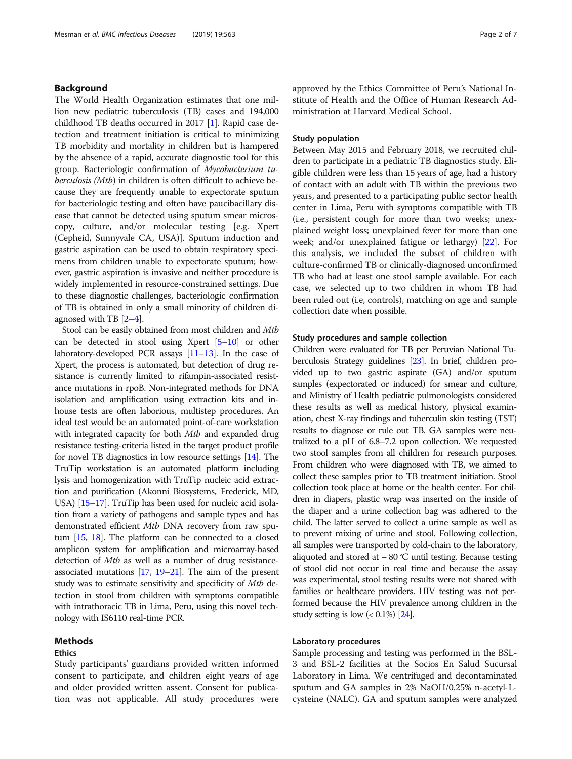## Background

The World Health Organization estimates that one million new pediatric tuberculosis (TB) cases and 194,000 childhood TB deaths occurred in 2017 [[1](#page-6-0)]. Rapid case detection and treatment initiation is critical to minimizing TB morbidity and mortality in children but is hampered by the absence of a rapid, accurate diagnostic tool for this group. Bacteriologic confirmation of Mycobacterium tuberculosis (Mtb) in children is often difficult to achieve because they are frequently unable to expectorate sputum for bacteriologic testing and often have paucibacillary disease that cannot be detected using sputum smear microscopy, culture, and/or molecular testing [e.g. Xpert (Cepheid, Sunnyvale CA, USA)]. Sputum induction and gastric aspiration can be used to obtain respiratory specimens from children unable to expectorate sputum; however, gastric aspiration is invasive and neither procedure is widely implemented in resource-constrained settings. Due to these diagnostic challenges, bacteriologic confirmation of TB is obtained in only a small minority of children diagnosed with TB [\[2](#page-6-0)–[4\]](#page-6-0).

Stool can be easily obtained from most children and Mtb can be detected in stool using Xpert  $[5-10]$  $[5-10]$  $[5-10]$  $[5-10]$  or other laboratory-developed PCR assays [[11](#page-6-0)–[13](#page-6-0)]. In the case of Xpert, the process is automated, but detection of drug resistance is currently limited to rifampin-associated resistance mutations in rpoB. Non-integrated methods for DNA isolation and amplification using extraction kits and inhouse tests are often laborious, multistep procedures. An ideal test would be an automated point-of-care workstation with integrated capacity for both Mtb and expanded drug resistance testing-criteria listed in the target product profile for novel TB diagnostics in low resource settings [\[14\]](#page-6-0). The TruTip workstation is an automated platform including lysis and homogenization with TruTip nucleic acid extraction and purification (Akonni Biosystems, Frederick, MD, USA) [\[15](#page-6-0)–[17\]](#page-6-0). TruTip has been used for nucleic acid isolation from a variety of pathogens and sample types and has demonstrated efficient Mtb DNA recovery from raw sputum [[15](#page-6-0), [18\]](#page-6-0). The platform can be connected to a closed amplicon system for amplification and microarray-based detection of Mtb as well as a number of drug resistanceassociated mutations  $[17, 19-21]$  $[17, 19-21]$  $[17, 19-21]$  $[17, 19-21]$  $[17, 19-21]$ . The aim of the present study was to estimate sensitivity and specificity of Mtb detection in stool from children with symptoms compatible with intrathoracic TB in Lima, Peru, using this novel technology with IS6110 real-time PCR.

## Methods

## Ethics

Study participants' guardians provided written informed consent to participate, and children eight years of age and older provided written assent. Consent for publication was not applicable. All study procedures were approved by the Ethics Committee of Peru's National Institute of Health and the Office of Human Research Administration at Harvard Medical School.

## Study population

Between May 2015 and February 2018, we recruited children to participate in a pediatric TB diagnostics study. Eligible children were less than 15 years of age, had a history of contact with an adult with TB within the previous two years, and presented to a participating public sector health center in Lima, Peru with symptoms compatible with TB (i.e., persistent cough for more than two weeks; unexplained weight loss; unexplained fever for more than one week; and/or unexplained fatigue or lethargy) [\[22\]](#page-6-0). For this analysis, we included the subset of children with culture-confirmed TB or clinically-diagnosed unconfirmed TB who had at least one stool sample available. For each case, we selected up to two children in whom TB had been ruled out (i.e, controls), matching on age and sample collection date when possible.

### Study procedures and sample collection

Children were evaluated for TB per Peruvian National Tuberculosis Strategy guidelines [[23\]](#page-6-0). In brief, children provided up to two gastric aspirate (GA) and/or sputum samples (expectorated or induced) for smear and culture, and Ministry of Health pediatric pulmonologists considered these results as well as medical history, physical examination, chest X-ray findings and tuberculin skin testing (TST) results to diagnose or rule out TB. GA samples were neutralized to a pH of 6.8–7.2 upon collection. We requested two stool samples from all children for research purposes. From children who were diagnosed with TB, we aimed to collect these samples prior to TB treatment initiation. Stool collection took place at home or the health center. For children in diapers, plastic wrap was inserted on the inside of the diaper and a urine collection bag was adhered to the child. The latter served to collect a urine sample as well as to prevent mixing of urine and stool. Following collection, all samples were transported by cold-chain to the laboratory, aliquoted and stored at − 80 °C until testing. Because testing of stool did not occur in real time and because the assay was experimental, stool testing results were not shared with families or healthcare providers. HIV testing was not performed because the HIV prevalence among children in the study setting is low  $(< 0.1\%)$  [\[24\]](#page-6-0).

## Laboratory procedures

Sample processing and testing was performed in the BSL-3 and BSL-2 facilities at the Socios En Salud Sucursal Laboratory in Lima. We centrifuged and decontaminated sputum and GA samples in 2% NaOH/0.25% n-acetyl-Lcysteine (NALC). GA and sputum samples were analyzed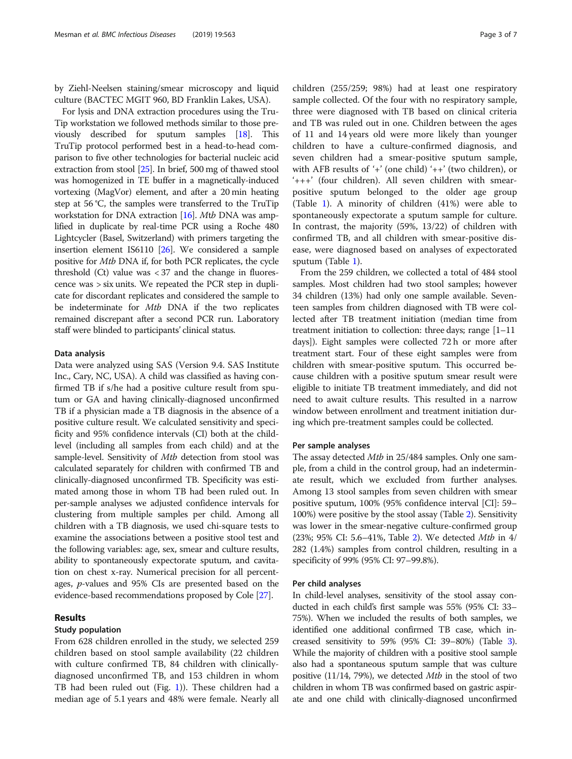by Ziehl-Neelsen staining/smear microscopy and liquid culture (BACTEC MGIT 960, BD Franklin Lakes, USA).

For lysis and DNA extraction procedures using the Tru-Tip workstation we followed methods similar to those previously described for sputum samples [\[18\]](#page-6-0). This TruTip protocol performed best in a head-to-head comparison to five other technologies for bacterial nucleic acid extraction from stool [\[25\]](#page-6-0). In brief, 500 mg of thawed stool was homogenized in TE buffer in a magnetically-induced vortexing (MagVor) element, and after a 20 min heating step at 56 °C, the samples were transferred to the TruTip workstation for DNA extraction [[16](#page-6-0)]. Mtb DNA was amplified in duplicate by real-time PCR using a Roche 480 Lightcycler (Basel, Switzerland) with primers targeting the insertion element IS6110 [[26](#page-6-0)]. We considered a sample positive for Mtb DNA if, for both PCR replicates, the cycle threshold  $(Ct)$  value was  $< 37$  and the change in fluorescence was > six units. We repeated the PCR step in duplicate for discordant replicates and considered the sample to be indeterminate for Mtb DNA if the two replicates remained discrepant after a second PCR run. Laboratory staff were blinded to participants' clinical status.

#### Data analysis

Data were analyzed using SAS (Version 9.4. SAS Institute Inc., Cary, NC, USA). A child was classified as having confirmed TB if s/he had a positive culture result from sputum or GA and having clinically-diagnosed unconfirmed TB if a physician made a TB diagnosis in the absence of a positive culture result. We calculated sensitivity and specificity and 95% confidence intervals (CI) both at the childlevel (including all samples from each child) and at the sample-level. Sensitivity of *Mtb* detection from stool was calculated separately for children with confirmed TB and clinically-diagnosed unconfirmed TB. Specificity was estimated among those in whom TB had been ruled out. In per-sample analyses we adjusted confidence intervals for clustering from multiple samples per child. Among all children with a TB diagnosis, we used chi-square tests to examine the associations between a positive stool test and the following variables: age, sex, smear and culture results, ability to spontaneously expectorate sputum, and cavitation on chest x-ray. Numerical precision for all percentages, p-values and 95% CIs are presented based on the evidence-based recommendations proposed by Cole [[27](#page-6-0)].

## Results

## Study population

From 628 children enrolled in the study, we selected 259 children based on stool sample availability (22 children with culture confirmed TB, 84 children with clinicallydiagnosed unconfirmed TB, and 153 children in whom TB had been ruled out (Fig. [1](#page-3-0))). These children had a median age of 5.1 years and 48% were female. Nearly all children (255/259; 98%) had at least one respiratory sample collected. Of the four with no respiratory sample, three were diagnosed with TB based on clinical criteria and TB was ruled out in one. Children between the ages of 11 and 14 years old were more likely than younger children to have a culture-confirmed diagnosis, and seven children had a smear-positive sputum sample, with AFB results of '+' (one child) '++' (two children), or '+++' (four children). All seven children with smearpositive sputum belonged to the older age group (Table [1](#page-3-0)). A minority of children (41%) were able to spontaneously expectorate a sputum sample for culture. In contrast, the majority (59%, 13/22) of children with confirmed TB, and all children with smear-positive disease, were diagnosed based on analyses of expectorated sputum (Table [1\)](#page-3-0).

From the 259 children, we collected a total of 484 stool samples. Most children had two stool samples; however 34 children (13%) had only one sample available. Seventeen samples from children diagnosed with TB were collected after TB treatment initiation (median time from treatment initiation to collection: three days; range [1–11 days]). Eight samples were collected 72 h or more after treatment start. Four of these eight samples were from children with smear-positive sputum. This occurred because children with a positive sputum smear result were eligible to initiate TB treatment immediately, and did not need to await culture results. This resulted in a narrow window between enrollment and treatment initiation during which pre-treatment samples could be collected.

#### Per sample analyses

The assay detected Mtb in 25/484 samples. Only one sample, from a child in the control group, had an indeterminate result, which we excluded from further analyses. Among 13 stool samples from seven children with smear positive sputum, 100% (95% confidence interval [CI]: 59– 100%) were positive by the stool assay (Table [2](#page-4-0)). Sensitivity was lower in the smear-negative culture-confirmed group (23%; 95% CI: 5.6–41%, Table [2](#page-4-0)). We detected Mtb in 4/ 282 (1.4%) samples from control children, resulting in a specificity of 99% (95% CI: 97–99.8%).

#### Per child analyses

In child-level analyses, sensitivity of the stool assay conducted in each child's first sample was 55% (95% CI: 33– 75%). When we included the results of both samples, we identified one additional confirmed TB case, which increased sensitivity to 59% (95% CI: 39–80%) (Table [3](#page-4-0)). While the majority of children with a positive stool sample also had a spontaneous sputum sample that was culture positive (11/14, 79%), we detected Mtb in the stool of two children in whom TB was confirmed based on gastric aspirate and one child with clinically-diagnosed unconfirmed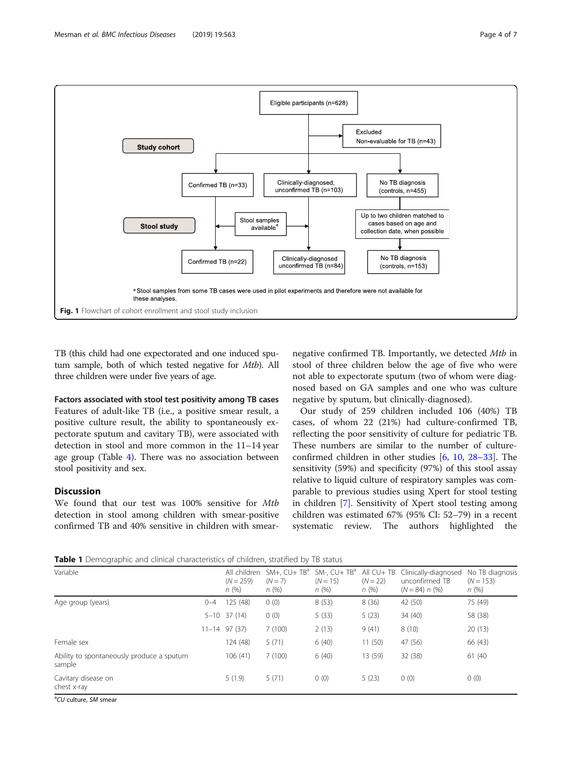

<span id="page-3-0"></span>

TB (this child had one expectorated and one induced sputum sample, both of which tested negative for Mtb). All three children were under five years of age.

Factors associated with stool test positivity among TB cases Features of adult-like TB (i.e., a positive smear result, a positive culture result, the ability to spontaneously expectorate sputum and cavitary TB), were associated with detection in stool and more common in the 11–14 year age group (Table [4\)](#page-5-0). There was no association between stool positivity and sex.

## **Discussion**

We found that our test was 100% sensitive for Mtb detection in stool among children with smear-positive confirmed TB and 40% sensitive in children with smear-

negative confirmed TB. Importantly, we detected Mtb in stool of three children below the age of five who were not able to expectorate sputum (two of whom were diagnosed based on GA samples and one who was culture negative by sputum, but clinically-diagnosed).

Our study of 259 children included 106 (40%) TB cases, of whom 22 (21%) had culture-confirmed TB, reflecting the poor sensitivity of culture for pediatric TB. These numbers are similar to the number of cultureconfirmed children in other studies [[6,](#page-6-0) [10,](#page-6-0) [28](#page-6-0)–[33](#page-6-0)]. The sensitivity (59%) and specificity (97%) of this stool assay relative to liquid culture of respiratory samples was comparable to previous studies using Xpert for stool testing in children [\[7](#page-6-0)]. Sensitivity of Xpert stool testing among children was estimated 67% (95% CI: 52–79) in a recent systematic review. The authors highlighted the

Table 1 Demographic and clinical characteristics of children, stratified by TB status

| Variable                                            |         | All children<br>$(N = 259)$<br>n(%) | $SM+$ , $CU+TBa$<br>$(N = 7)$<br>n(%) | $SM$ -, $CU+TBa$<br>$(N = 15)$<br>n(%) | All CU+ TB<br>$(N = 22)$<br>n(%) | Clinically-diagnosed<br>unconfirmed TB<br>$(N = 84) n (%)$ | No TB diagnosis<br>$(N = 153)$<br>n(%) |
|-----------------------------------------------------|---------|-------------------------------------|---------------------------------------|----------------------------------------|----------------------------------|------------------------------------------------------------|----------------------------------------|
| Age group (years)                                   | $0 - 4$ | 125 (48)                            | 0(0)                                  | 8(53)                                  | 8(36)                            | 42 (50)                                                    | 75 (49)                                |
|                                                     |         | $5 - 10$ 37 (14)                    | 0(0)                                  | 5(33)                                  | 5(23)                            | 34 (40)                                                    | 58 (38)                                |
|                                                     |         | $11 - 14$ 97 (37)                   | 7(100)                                | 2(13)                                  | 9(41)                            | 8(10)                                                      | 20(13)                                 |
| Female sex                                          |         | 124 (48)                            | 5(71)                                 | 6(40)                                  | 11(50)                           | 47 (56)                                                    | 66 (43)                                |
| Ability to spontaneously produce a sputum<br>sample |         | 106(41)                             | 7(100)                                | 6(40)                                  | 13 (59)                          | 32 (38)                                                    | 61 (40)                                |
| Cavitary disease on<br>chest x-ray                  |         | 5(1.9)                              | 5(71)                                 | 0(0)                                   | 5(23)                            | 0(0)                                                       | 0(0)                                   |

<sup>a</sup>CU culture, SM smear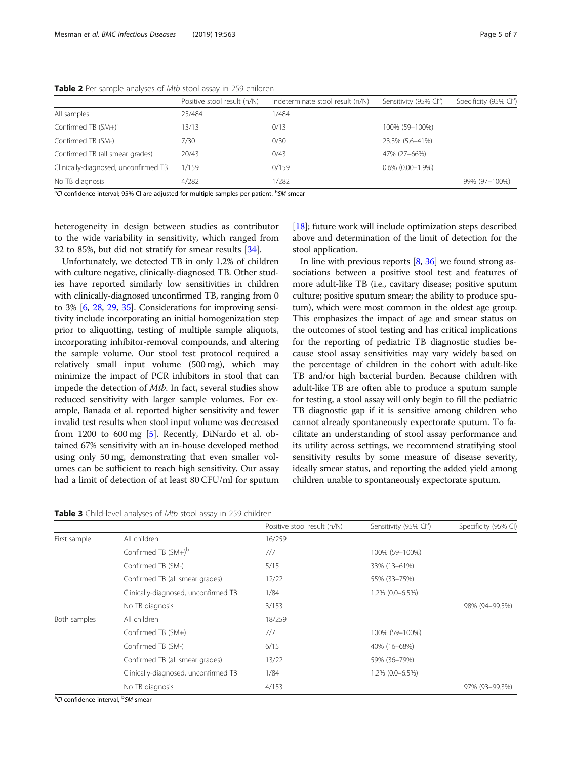|                                      | Positive stool result (n/N) | Indeterminate stool result (n/N) | Sensitivity (95% Cl <sup>a</sup> ) | Specificity (95% Cl <sup>a</sup> ) |
|--------------------------------------|-----------------------------|----------------------------------|------------------------------------|------------------------------------|
| All samples                          | 25/484                      | 1/484                            |                                    |                                    |
| Confirmed TB $(SM+)^\text{b}$        | 13/13                       | 0/13                             | 100% (59-100%)                     |                                    |
| Confirmed TB (SM-)                   | 7/30                        | 0/30                             | 23.3% (5.6-41%)                    |                                    |
| Confirmed TB (all smear grades)      | 20/43                       | 0/43                             | 47% (27-66%)                       |                                    |
| Clinically-diagnosed, unconfirmed TB | 1/159                       | 0/159                            | $0.6\%$ (0.00-1.9%)                |                                    |
| No TB diagnosis                      | 4/282                       | 1/282                            |                                    | 99% (97-100%)                      |

<span id="page-4-0"></span>Table 2 Per sample analyses of Mtb stool assay in 259 children

<sup>a</sup>CI confidence interval; 95% CI are adjusted for multiple samples per patient. <sup>b</sup>SM smear

heterogeneity in design between studies as contributor to the wide variability in sensitivity, which ranged from 32 to 85%, but did not stratify for smear results [\[34](#page-6-0)].

Unfortunately, we detected TB in only 1.2% of children with culture negative, clinically-diagnosed TB. Other studies have reported similarly low sensitivities in children with clinically-diagnosed unconfirmed TB, ranging from 0 to 3% [\[6](#page-6-0), [28](#page-6-0), [29](#page-6-0), [35](#page-6-0)]. Considerations for improving sensitivity include incorporating an initial homogenization step prior to aliquotting, testing of multiple sample aliquots, incorporating inhibitor-removal compounds, and altering the sample volume. Our stool test protocol required a relatively small input volume (500 mg), which may minimize the impact of PCR inhibitors in stool that can impede the detection of Mtb. In fact, several studies show reduced sensitivity with larger sample volumes. For example, Banada et al. reported higher sensitivity and fewer invalid test results when stool input volume was decreased from 1200 to 600 mg [\[5](#page-6-0)]. Recently, DiNardo et al. obtained 67% sensitivity with an in-house developed method using only 50 mg, demonstrating that even smaller volumes can be sufficient to reach high sensitivity. Our assay had a limit of detection of at least 80 CFU/ml for sputum

Table 3 Child-level analyses of Mtb stool assay in 259 children

[[18](#page-6-0)]; future work will include optimization steps described above and determination of the limit of detection for the stool application.

In line with previous reports [\[8,](#page-6-0) [36](#page-6-0)] we found strong associations between a positive stool test and features of more adult-like TB (i.e., cavitary disease; positive sputum culture; positive sputum smear; the ability to produce sputum), which were most common in the oldest age group. This emphasizes the impact of age and smear status on the outcomes of stool testing and has critical implications for the reporting of pediatric TB diagnostic studies because stool assay sensitivities may vary widely based on the percentage of children in the cohort with adult-like TB and/or high bacterial burden. Because children with adult-like TB are often able to produce a sputum sample for testing, a stool assay will only begin to fill the pediatric TB diagnostic gap if it is sensitive among children who cannot already spontaneously expectorate sputum. To facilitate an understanding of stool assay performance and its utility across settings, we recommend stratifying stool sensitivity results by some measure of disease severity, ideally smear status, and reporting the added yield among children unable to spontaneously expectorate sputum.

|              |                                      | Positive stool result (n/N) | Sensitivity (95% Cl <sup>a</sup> ) | Specificity (95% CI) |
|--------------|--------------------------------------|-----------------------------|------------------------------------|----------------------|
| First sample | All children                         | 16/259                      |                                    |                      |
|              | Confirmed TB $(SM+)$ <sup>b</sup>    | 7/7                         | 100% (59-100%)                     |                      |
|              | Confirmed TB (SM-)                   | 5/15                        | 33% (13-61%)                       |                      |
|              | Confirmed TB (all smear grades)      | 12/22                       | 55% (33-75%)                       |                      |
|              | Clinically-diagnosed, unconfirmed TB | 1/84                        | 1.2% (0.0-6.5%)                    |                      |
|              | No TB diagnosis                      | 3/153                       |                                    | 98% (94-99.5%)       |
| Both samples | All children                         | 18/259                      |                                    |                      |
|              | Confirmed TB (SM+)                   | 7/7                         | 100% (59-100%)                     |                      |
|              | Confirmed TB (SM-)                   | 6/15                        | 40% (16-68%)                       |                      |
|              | Confirmed TB (all smear grades)      | 13/22                       | 59% (36-79%)                       |                      |
|              | Clinically-diagnosed, unconfirmed TB | 1/84                        | 1.2% (0.0-6.5%)                    |                      |
|              | No TB diagnosis                      | 4/153                       |                                    | 97% (93-99.3%)       |

<sup>a</sup>CI confidence interval, <sup>b</sup>SM smear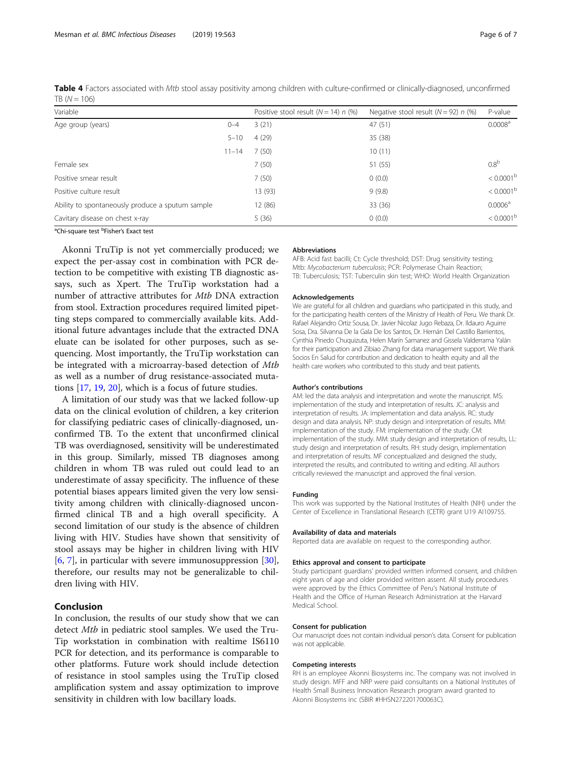<span id="page-5-0"></span>

| Table 4 Factors associated with Mtb stool assay positivity among children with culture-confirmed or clinically-diagnosed, unconfirmed |  |  |  |
|---------------------------------------------------------------------------------------------------------------------------------------|--|--|--|
| $TB (N = 106)$                                                                                                                        |  |  |  |

|           | Positive stool result $(N = 14)$ n (%) | Negative stool result ( $N = 92$ ) n (%) | P-value             |
|-----------|----------------------------------------|------------------------------------------|---------------------|
| $0 - 4$   | 3(21)                                  | 47(51)                                   | 0.0008 <sup>a</sup> |
| $5 - 10$  | 4(29)                                  | 35 (38)                                  |                     |
| $11 - 14$ | 7(50)                                  | 10(11)                                   |                     |
|           | 7(50)                                  | 51 (55)                                  | 0.8 <sup>b</sup>    |
|           | 7(50)                                  | 0(0.0)                                   | $< 0.0001^{\rm b}$  |
|           | 13 (93)                                | 9(9.8)                                   | $< 0.0001^{\rm b}$  |
|           | 12 (86)                                | 33 (36)                                  | 0.0006 <sup>a</sup> |
|           | 5(36)                                  | 0(0.0)                                   | $< 0.0001^{\rm b}$  |
|           |                                        |                                          |                     |

<sup>a</sup>Chi-square test <sup>b</sup>Fisher's Exact test

Akonni TruTip is not yet commercially produced; we expect the per-assay cost in combination with PCR detection to be competitive with existing TB diagnostic assays, such as Xpert. The TruTip workstation had a number of attractive attributes for *Mtb* DNA extraction from stool. Extraction procedures required limited pipetting steps compared to commercially available kits. Additional future advantages include that the extracted DNA eluate can be isolated for other purposes, such as sequencing. Most importantly, the TruTip workstation can be integrated with a microarray-based detection of Mtb as well as a number of drug resistance-associated mutations [[17,](#page-6-0) [19,](#page-6-0) [20](#page-6-0)], which is a focus of future studies.

A limitation of our study was that we lacked follow-up data on the clinical evolution of children, a key criterion for classifying pediatric cases of clinically-diagnosed, unconfirmed TB. To the extent that unconfirmed clinical TB was overdiagnosed, sensitivity will be underestimated in this group. Similarly, missed TB diagnoses among children in whom TB was ruled out could lead to an underestimate of assay specificity. The influence of these potential biases appears limited given the very low sensitivity among children with clinically-diagnosed unconfirmed clinical TB and a high overall specificity. A second limitation of our study is the absence of children living with HIV. Studies have shown that sensitivity of stool assays may be higher in children living with HIV [[6,](#page-6-0) [7\]](#page-6-0), in particular with severe immunosuppression [\[30](#page-6-0)], therefore, our results may not be generalizable to children living with HIV.

## Conclusion

In conclusion, the results of our study show that we can detect Mtb in pediatric stool samples. We used the Tru-Tip workstation in combination with realtime IS6110 PCR for detection, and its performance is comparable to other platforms. Future work should include detection of resistance in stool samples using the TruTip closed amplification system and assay optimization to improve sensitivity in children with low bacillary loads.

#### Abbreviations

AFB: Acid fast bacilli; Ct: Cycle threshold; DST: Drug sensitivity testing; Mtb: Mycobacterium tuberculosis; PCR: Polymerase Chain Reaction; TB: Tuberculosis; TST: Tuberculin skin test; WHO: World Health Organization

#### Acknowledgements

We are grateful for all children and guardians who participated in this study, and for the participating health centers of the Ministry of Health of Peru. We thank Dr. Rafael Alejandro Ortiz Sousa, Dr. Javier Nicolaz Jugo Rebaza, Dr. Ildauro Aguirre Sosa, Dra. Silvanna De la Gala De los Santos, Dr. Hernán Del Castillo Barrientos, Cynthia Pinedo Chuquizuta, Helen Marín Samanez and Gissela Valderrama Yalán for their participation and Zibiao Zhang for data management support. We thank Socios En Salud for contribution and dedication to health equity and all the health care workers who contributed to this study and treat patients.

#### Author's contributions

AM: led the data analysis and interpretation and wrote the manuscript. MS: implementation of the study and interpretation of results. JC: analysis and interpretation of results. JA: implementation and data analysis. RC: study design and data analysis. NP: study design and interpretation of results. MM: implementation of the study. FM: implementation of the study. CM: implementation of the study. MM: study design and interpretation of results, LL: study design and interpretation of results. RH: study design, implementation and interpretation of results. MF conceptualized and designed the study, interpreted the results, and contributed to writing and editing. All authors critically reviewed the manuscript and approved the final version.

#### Funding

This work was supported by the National Institutes of Health (NIH) under the Center of Excellence in Translational Research (CETR) grant U19 AI109755.

#### Availability of data and materials

Reported data are available on request to the corresponding author.

#### Ethics approval and consent to participate

Study participant guardians' provided written informed consent, and children eight years of age and older provided written assent. All study procedures were approved by the Ethics Committee of Peru's National Institute of Health and the Office of Human Research Administration at the Harvard Medical School.

#### Consent for publication

Our manuscript does not contain individual person's data. Consent for publication was not applicable.

#### Competing interests

RH is an employee Akonni Biosystems inc. The company was not involved in study design. MFF and NRP were paid consultants on a National Institutes of Health Small Business Innovation Research program award granted to Akonni Biosystems inc (SBIR #HHSN272201700063C).